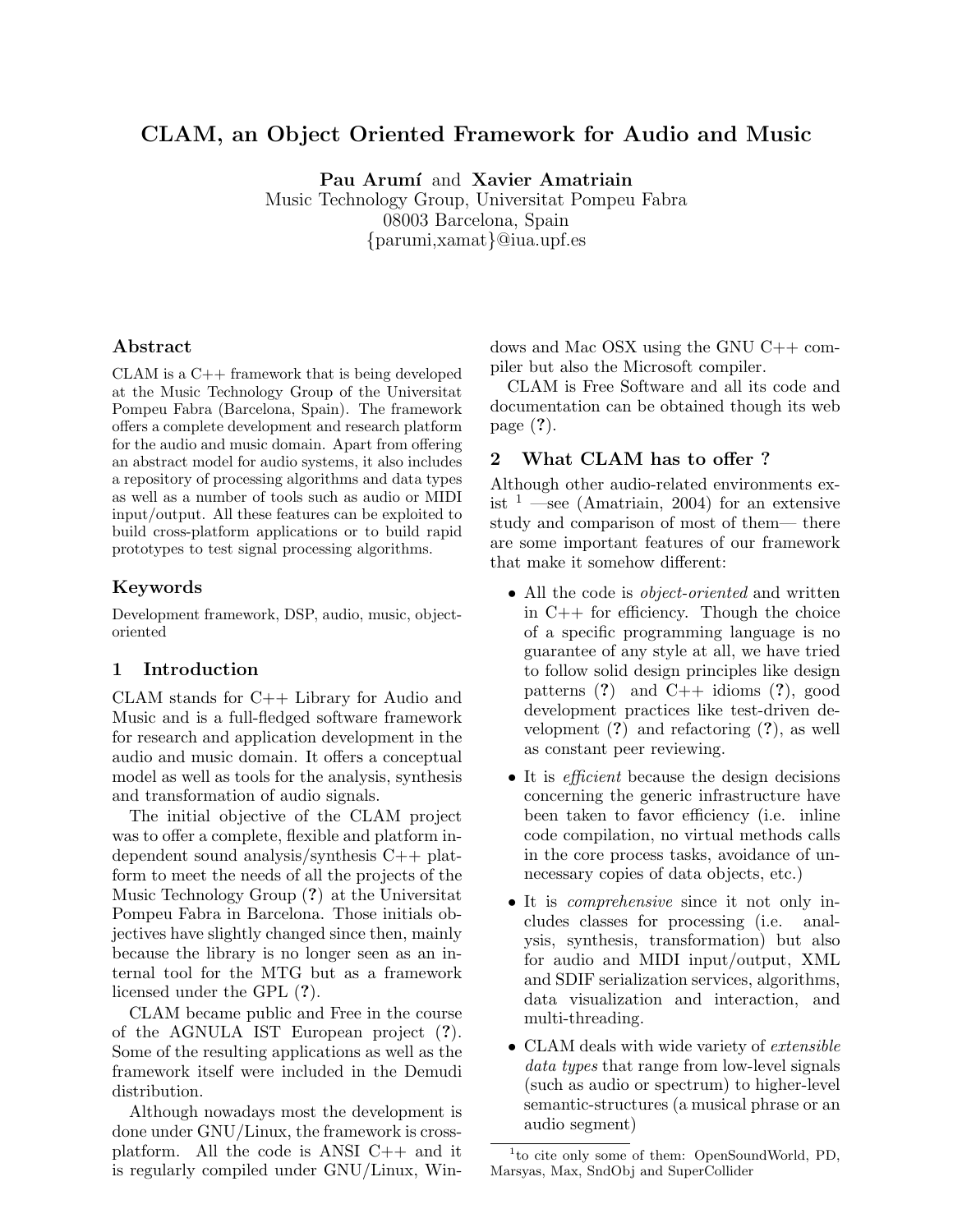# CLAM, an Object Oriented Framework for Audio and Music

Pau Arumí and Xavier Amatriain

Music Technology Group, Universitat Pompeu Fabra 08003 Barcelona, Spain {parumi,xamat}@iua.upf.es

#### Abstract

CLAM is a C++ framework that is being developed at the Music Technology Group of the Universitat Pompeu Fabra (Barcelona, Spain). The framework offers a complete development and research platform for the audio and music domain. Apart from offering an abstract model for audio systems, it also includes a repository of processing algorithms and data types as well as a number of tools such as audio or MIDI input/output. All these features can be exploited to build cross-platform applications or to build rapid prototypes to test signal processing algorithms.

#### Keywords

Development framework, DSP, audio, music, objectoriented

#### 1 Introduction

CLAM stands for C++ Library for Audio and Music and is a full-fledged software framework for research and application development in the audio and music domain. It offers a conceptual model as well as tools for the analysis, synthesis and transformation of audio signals.

The initial objective of the CLAM project was to offer a complete, flexible and platform independent sound analysis/synthesis C++ platform to meet the needs of all the projects of the Music Technology Group (?) at the Universitat Pompeu Fabra in Barcelona. Those initials objectives have slightly changed since then, mainly because the library is no longer seen as an internal tool for the MTG but as a framework licensed under the GPL (?).

CLAM became public and Free in the course of the AGNULA IST European project (?). Some of the resulting applications as well as the framework itself were included in the Demudi distribution.

Although nowadays most the development is done under GNU/Linux, the framework is crossplatform. All the code is ANSI  $C++$  and it is regularly compiled under GNU/Linux, Windows and Mac OSX using the GNU C++ compiler but also the Microsoft compiler.

CLAM is Free Software and all its code and documentation can be obtained though its web page (?).

#### 2 What CLAM has to offer ?

Although other audio-related environments exist  $1$  —see (Amatriain, 2004) for an extensive study and comparison of most of them— there are some important features of our framework that make it somehow different:

- All the code is *object-oriented* and written in C++ for efficiency. Though the choice of a specific programming language is no guarantee of any style at all, we have tried to follow solid design principles like design patterns  $(?)$  and  $C++$  idioms  $(?)$ , good development practices like test-driven development (?) and refactoring (?), as well as constant peer reviewing.
- It is *efficient* because the design decisions concerning the generic infrastructure have been taken to favor efficiency (i.e. inline code compilation, no virtual methods calls in the core process tasks, avoidance of unnecessary copies of data objects, etc.)
- It is *comprehensive* since it not only includes classes for processing (i.e. analysis, synthesis, transformation) but also for audio and MIDI input/output, XML and SDIF serialization services, algorithms, data visualization and interaction, and multi-threading.
- CLAM deals with wide variety of *extensible* data types that range from low-level signals (such as audio or spectrum) to higher-level semantic-structures (a musical phrase or an audio segment)

<sup>&</sup>lt;sup>1</sup>to cite only some of them: OpenSoundWorld, PD, Marsyas, Max, SndObj and SuperCollider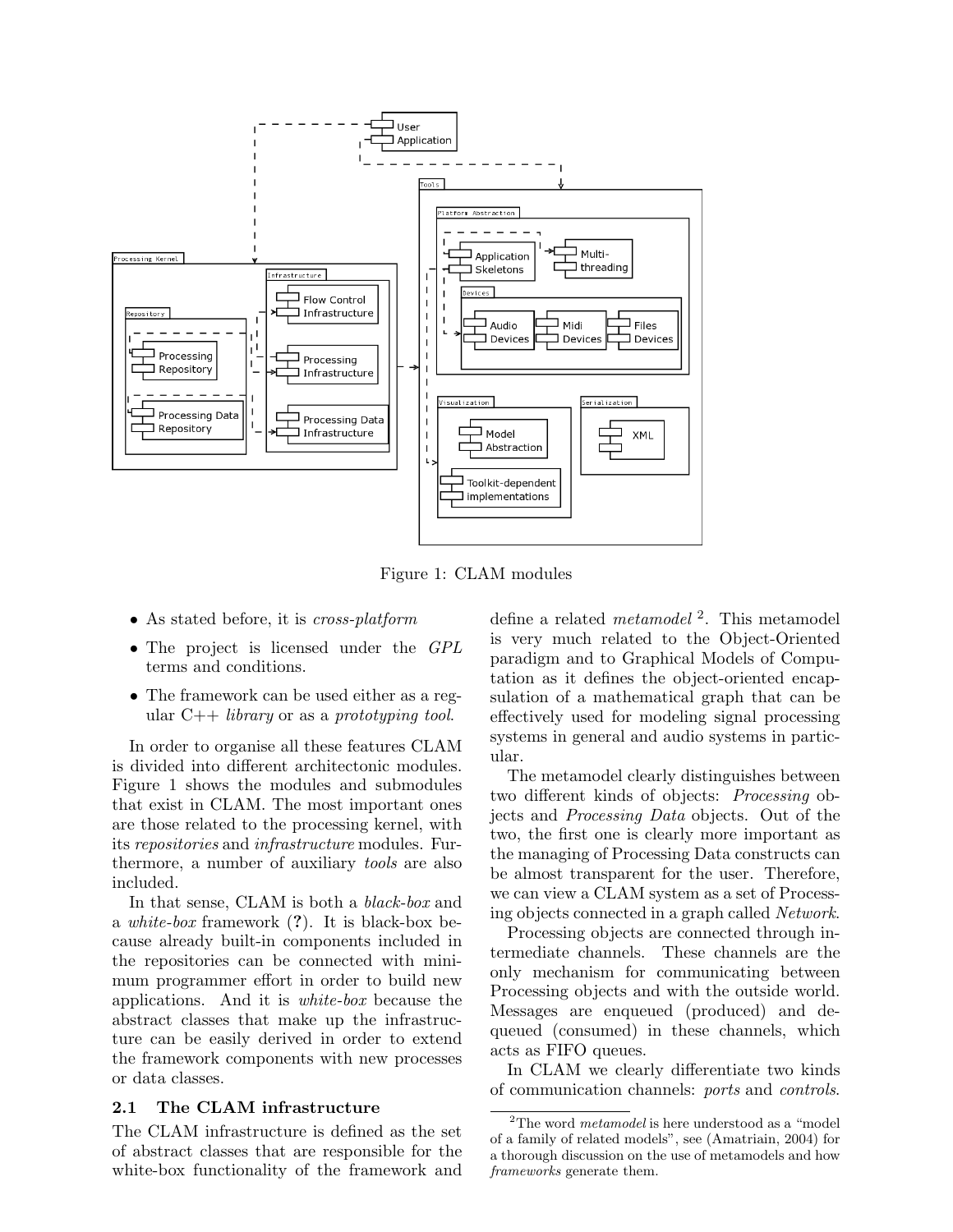

Figure 1: CLAM modules

- As stated before, it is *cross-platform*
- The project is licensed under the GPL terms and conditions.
- The framework can be used either as a regular  $C++$  *library* or as a *prototyping tool.*

In order to organise all these features CLAM is divided into different architectonic modules. Figure 1 shows the modules and submodules that exist in CLAM. The most important ones are those related to the processing kernel, with its repositories and infrastructure modules. Furthermore, a number of auxiliary tools are also included.

In that sense, CLAM is both a black-box and a white-box framework (?). It is black-box because already built-in components included in the repositories can be connected with minimum programmer effort in order to build new applications. And it is white-box because the abstract classes that make up the infrastructure can be easily derived in order to extend the framework components with new processes or data classes.

#### 2.1 The CLAM infrastructure

The CLAM infrastructure is defined as the set of abstract classes that are responsible for the white-box functionality of the framework and

define a related *metamodel*<sup>2</sup>. This metamodel is very much related to the Object-Oriented paradigm and to Graphical Models of Computation as it defines the object-oriented encapsulation of a mathematical graph that can be effectively used for modeling signal processing systems in general and audio systems in particular.

The metamodel clearly distinguishes between two different kinds of objects: Processing objects and Processing Data objects. Out of the two, the first one is clearly more important as the managing of Processing Data constructs can be almost transparent for the user. Therefore, we can view a CLAM system as a set of Processing objects connected in a graph called Network.

Processing objects are connected through intermediate channels. These channels are the only mechanism for communicating between Processing objects and with the outside world. Messages are enqueued (produced) and dequeued (consumed) in these channels, which acts as FIFO queues.

In CLAM we clearly differentiate two kinds of communication channels: ports and controls.

 $2$ The word *metamodel* is here understood as a "model" of a family of related models", see (Amatriain, 2004) for a thorough discussion on the use of metamodels and how frameworks generate them.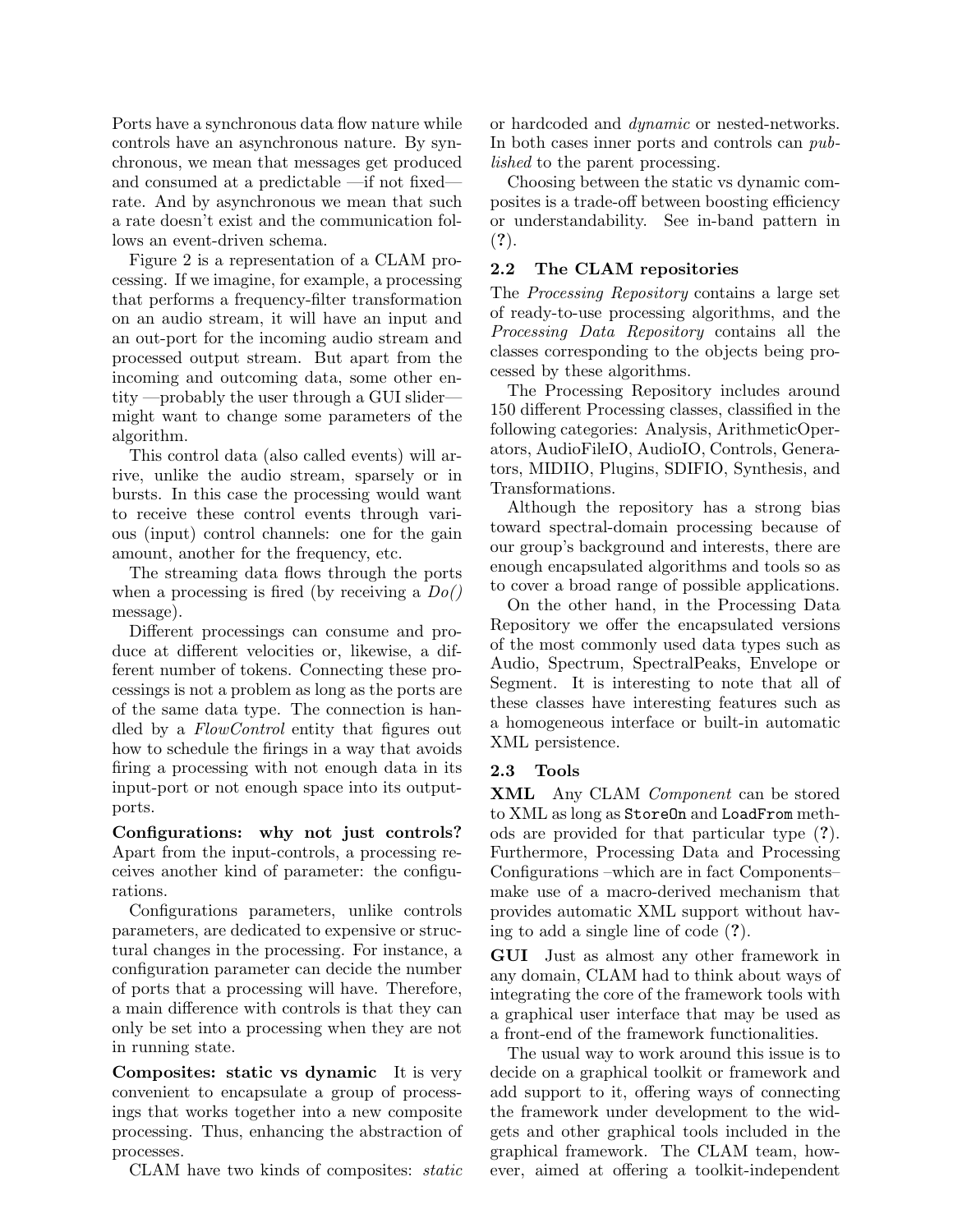Ports have a synchronous data flow nature while controls have an asynchronous nature. By synchronous, we mean that messages get produced and consumed at a predictable —if not fixed rate. And by asynchronous we mean that such a rate doesn't exist and the communication follows an event-driven schema.

Figure 2 is a representation of a CLAM processing. If we imagine, for example, a processing that performs a frequency-filter transformation on an audio stream, it will have an input and an out-port for the incoming audio stream and processed output stream. But apart from the incoming and outcoming data, some other entity —probably the user through a GUI slider might want to change some parameters of the algorithm.

This control data (also called events) will arrive, unlike the audio stream, sparsely or in bursts. In this case the processing would want to receive these control events through various (input) control channels: one for the gain amount, another for the frequency, etc.

The streaming data flows through the ports when a processing is fired (by receiving a  $Do()$ message).

Different processings can consume and produce at different velocities or, likewise, a different number of tokens. Connecting these processings is not a problem as long as the ports are of the same data type. The connection is handled by a FlowControl entity that figures out how to schedule the firings in a way that avoids firing a processing with not enough data in its input-port or not enough space into its outputports.

Configurations: why not just controls? Apart from the input-controls, a processing receives another kind of parameter: the configurations.

Configurations parameters, unlike controls parameters, are dedicated to expensive or structural changes in the processing. For instance, a configuration parameter can decide the number of ports that a processing will have. Therefore, a main difference with controls is that they can only be set into a processing when they are not in running state.

Composites: static vs dynamic It is very convenient to encapsulate a group of processings that works together into a new composite processing. Thus, enhancing the abstraction of processes.

CLAM have two kinds of composites: static

or hardcoded and dynamic or nested-networks. In both cases inner ports and controls can published to the parent processing.

Choosing between the static vs dynamic composites is a trade-off between boosting efficiency or understandability. See in-band pattern in (?).

### 2.2 The CLAM repositories

The Processing Repository contains a large set of ready-to-use processing algorithms, and the Processing Data Repository contains all the classes corresponding to the objects being processed by these algorithms.

The Processing Repository includes around 150 different Processing classes, classified in the following categories: Analysis, ArithmeticOperators, AudioFileIO, AudioIO, Controls, Generators, MIDIIO, Plugins, SDIFIO, Synthesis, and Transformations.

Although the repository has a strong bias toward spectral-domain processing because of our group's background and interests, there are enough encapsulated algorithms and tools so as to cover a broad range of possible applications.

On the other hand, in the Processing Data Repository we offer the encapsulated versions of the most commonly used data types such as Audio, Spectrum, SpectralPeaks, Envelope or Segment. It is interesting to note that all of these classes have interesting features such as a homogeneous interface or built-in automatic XML persistence.

## 2.3 Tools

XML Any CLAM Component can be stored to XML as long as StoreOn and LoadFrom methods are provided for that particular type (?). Furthermore, Processing Data and Processing Configurations –which are in fact Components– make use of a macro-derived mechanism that provides automatic XML support without having to add a single line of code (?).

GUI Just as almost any other framework in any domain, CLAM had to think about ways of integrating the core of the framework tools with a graphical user interface that may be used as a front-end of the framework functionalities.

The usual way to work around this issue is to decide on a graphical toolkit or framework and add support to it, offering ways of connecting the framework under development to the widgets and other graphical tools included in the graphical framework. The CLAM team, however, aimed at offering a toolkit-independent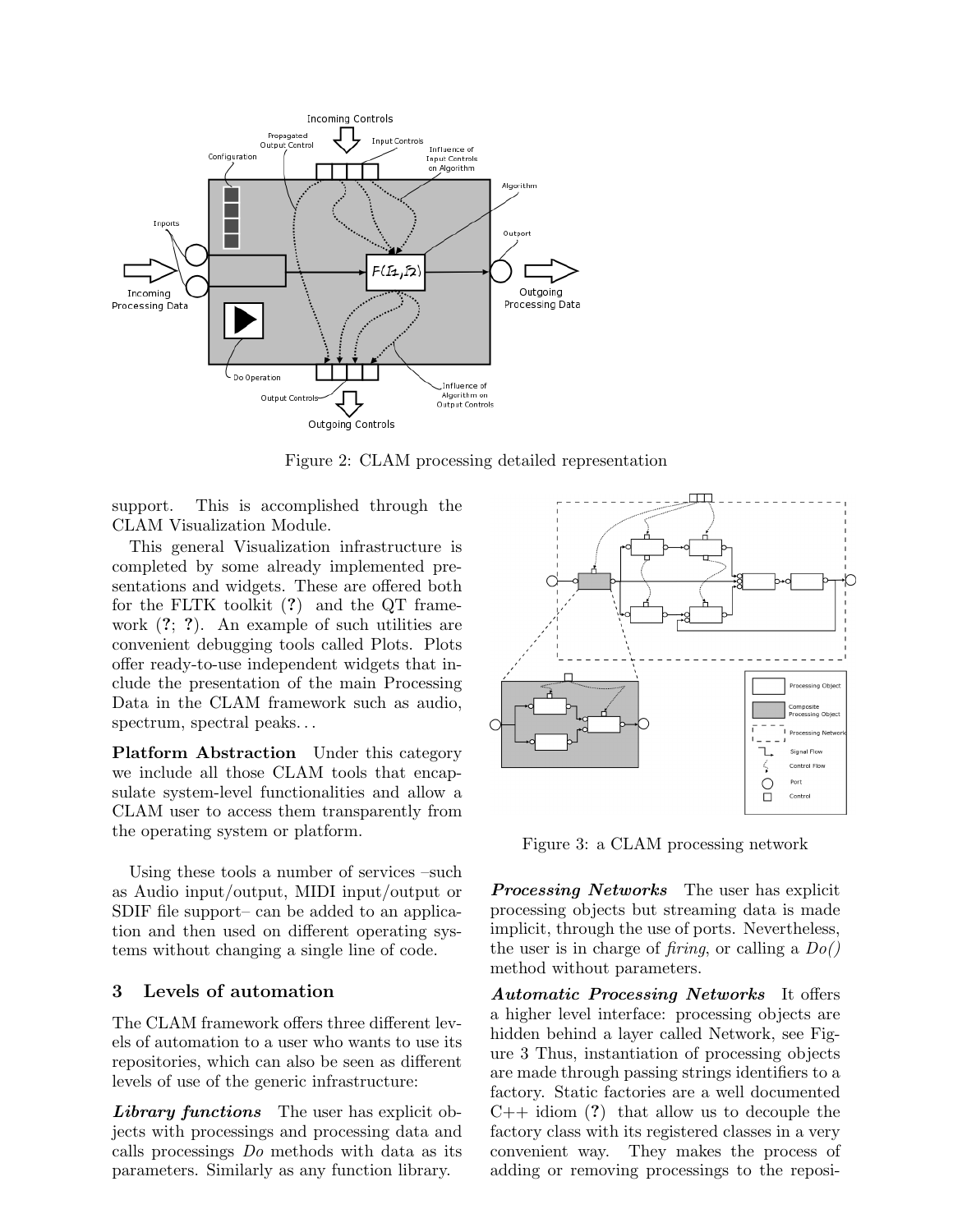

Figure 2: CLAM processing detailed representation

support. This is accomplished through the CLAM Visualization Module.

This general Visualization infrastructure is completed by some already implemented presentations and widgets. These are offered both for the FLTK toolkit (?) and the QT framework (?; ?). An example of such utilities are convenient debugging tools called Plots. Plots offer ready-to-use independent widgets that include the presentation of the main Processing Data in the CLAM framework such as audio, spectrum, spectral peaks...

Platform Abstraction Under this category we include all those CLAM tools that encapsulate system-level functionalities and allow a CLAM user to access them transparently from the operating system or platform.

Using these tools a number of services –such as Audio input/output, MIDI input/output or SDIF file support– can be added to an application and then used on different operating systems without changing a single line of code.

## 3 Levels of automation

The CLAM framework offers three different levels of automation to a user who wants to use its repositories, which can also be seen as different levels of use of the generic infrastructure:

Library functions The user has explicit objects with processings and processing data and calls processings Do methods with data as its parameters. Similarly as any function library.



Figure 3: a CLAM processing network

**Processing Networks** The user has explicit processing objects but streaming data is made implicit, through the use of ports. Nevertheless, the user is in charge of *firing*, or calling a  $Do()$ method without parameters.

Automatic Processing Networks It offers a higher level interface: processing objects are hidden behind a layer called Network, see Figure 3 Thus, instantiation of processing objects are made through passing strings identifiers to a factory. Static factories are a well documented  $C_{++}$  idiom (?) that allow us to decouple the factory class with its registered classes in a very convenient way. They makes the process of adding or removing processings to the reposi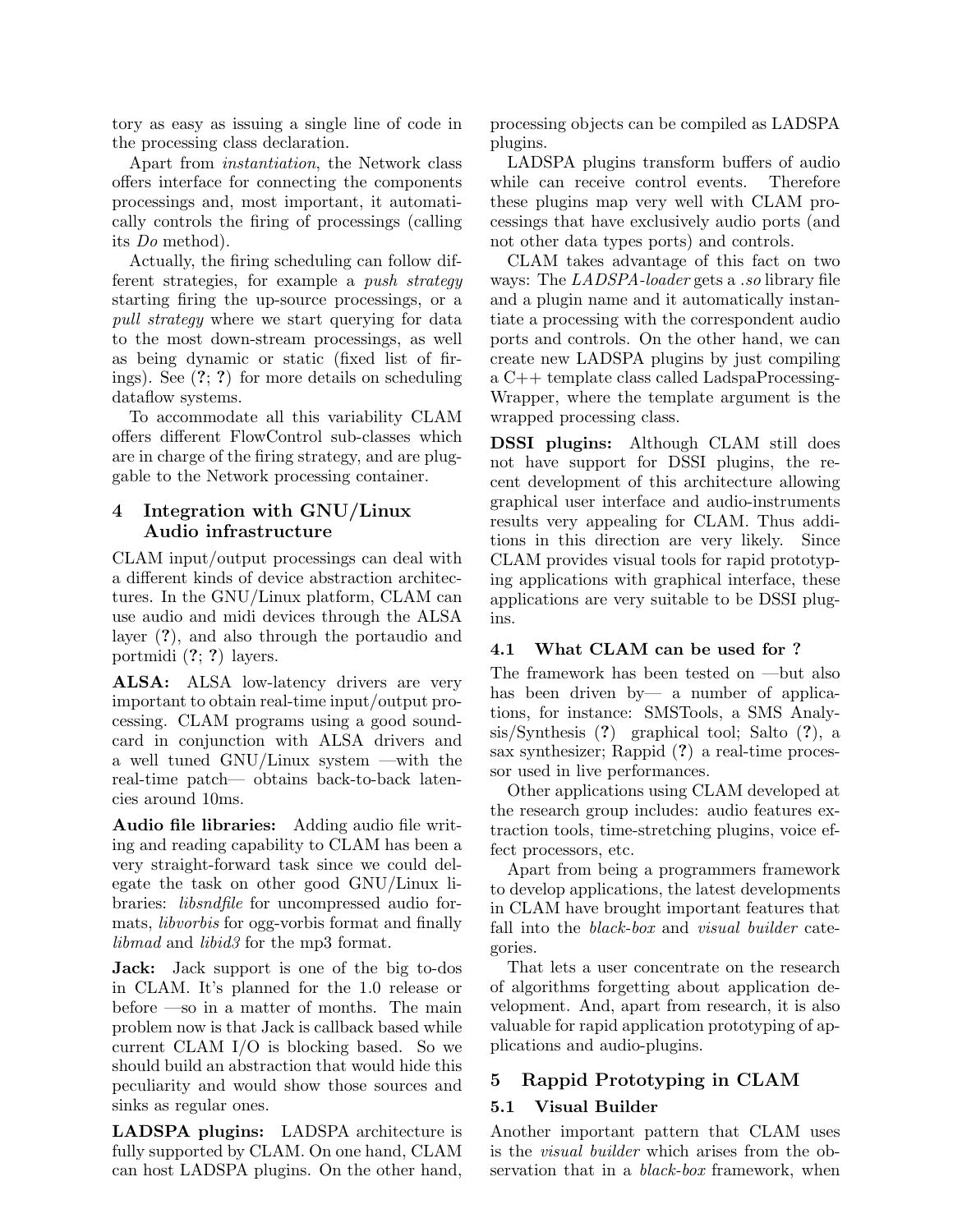tory as easy as issuing a single line of code in the processing class declaration.

Apart from instantiation, the Network class offers interface for connecting the components processings and, most important, it automatically controls the firing of processings (calling its Do method).

Actually, the firing scheduling can follow different strategies, for example a push strategy starting firing the up-source processings, or a pull strategy where we start querying for data to the most down-stream processings, as well as being dynamic or static (fixed list of firings). See (?; ?) for more details on scheduling dataflow systems.

To accommodate all this variability CLAM offers different FlowControl sub-classes which are in charge of the firing strategy, and are pluggable to the Network processing container.

## 4 Integration with GNU/Linux Audio infrastructure

CLAM input/output processings can deal with a different kinds of device abstraction architectures. In the GNU/Linux platform, CLAM can use audio and midi devices through the ALSA layer (?), and also through the portaudio and portmidi (?; ?) layers.

ALSA: ALSA low-latency drivers are very important to obtain real-time input/output processing. CLAM programs using a good soundcard in conjunction with ALSA drivers and a well tuned GNU/Linux system —with the real-time patch— obtains back-to-back latencies around 10ms.

Audio file libraries: Adding audio file writing and reading capability to CLAM has been a very straight-forward task since we could delegate the task on other good GNU/Linux libraries: libsndfile for uncompressed audio formats, libvorbis for ogg-vorbis format and finally libmad and libid3 for the mp3 format.

Jack: Jack support is one of the big to-dos in CLAM. It's planned for the 1.0 release or before —so in a matter of months. The main problem now is that Jack is callback based while current CLAM I/O is blocking based. So we should build an abstraction that would hide this peculiarity and would show those sources and sinks as regular ones.

LADSPA plugins: LADSPA architecture is fully supported by CLAM. On one hand, CLAM can host LADSPA plugins. On the other hand, processing objects can be compiled as LADSPA plugins.

LADSPA plugins transform buffers of audio while can receive control events. Therefore these plugins map very well with CLAM processings that have exclusively audio ports (and not other data types ports) and controls.

CLAM takes advantage of this fact on two ways: The LADSPA-loader gets a .so library file and a plugin name and it automatically instantiate a processing with the correspondent audio ports and controls. On the other hand, we can create new LADSPA plugins by just compiling a C++ template class called LadspaProcessing-Wrapper, where the template argument is the wrapped processing class.

DSSI plugins: Although CLAM still does not have support for DSSI plugins, the recent development of this architecture allowing graphical user interface and audio-instruments results very appealing for CLAM. Thus additions in this direction are very likely. Since CLAM provides visual tools for rapid prototyping applications with graphical interface, these applications are very suitable to be DSSI plugins.

#### 4.1 What CLAM can be used for ?

The framework has been tested on —but also has been driven by— a number of applications, for instance: SMSTools, a SMS Analysis/Synthesis (?) graphical tool; Salto (?), a sax synthesizer; Rappid (?) a real-time processor used in live performances.

Other applications using CLAM developed at the research group includes: audio features extraction tools, time-stretching plugins, voice effect processors, etc.

Apart from being a programmers framework to develop applications, the latest developments in CLAM have brought important features that fall into the *black-box* and *visual builder* categories.

That lets a user concentrate on the research of algorithms forgetting about application development. And, apart from research, it is also valuable for rapid application prototyping of applications and audio-plugins.

# 5 Rappid Prototyping in CLAM

## 5.1 Visual Builder

Another important pattern that CLAM uses is the visual builder which arises from the observation that in a *black-box* framework, when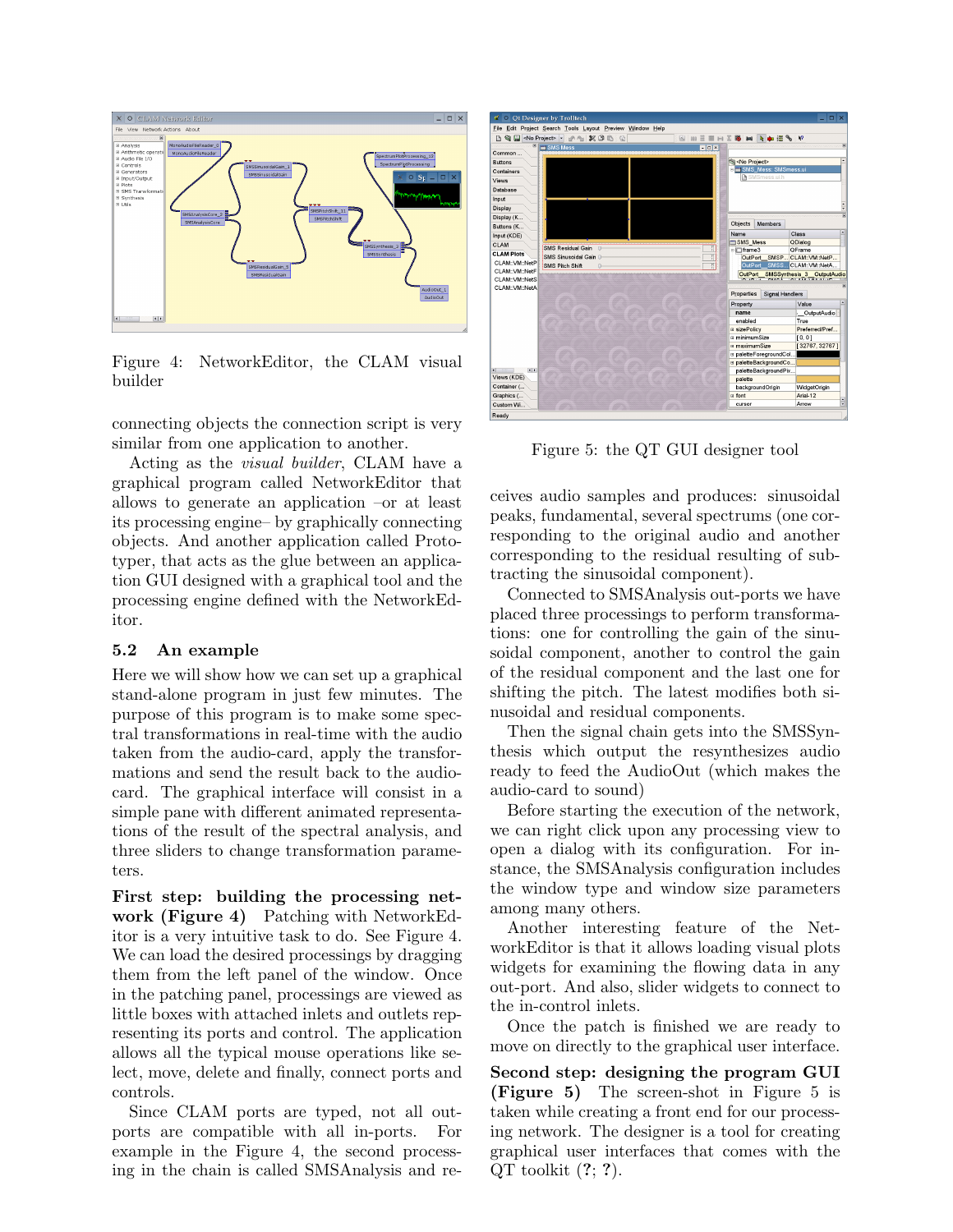

Figure 4: NetworkEditor, the CLAM visual builder

connecting objects the connection script is very similar from one application to another.

Acting as the visual builder, CLAM have a graphical program called NetworkEditor that allows to generate an application –or at least its processing engine– by graphically connecting objects. And another application called Prototyper, that acts as the glue between an application GUI designed with a graphical tool and the processing engine defined with the NetworkEditor.

#### 5.2 An example

Here we will show how we can set up a graphical stand-alone program in just few minutes. The purpose of this program is to make some spectral transformations in real-time with the audio taken from the audio-card, apply the transformations and send the result back to the audiocard. The graphical interface will consist in a simple pane with different animated representations of the result of the spectral analysis, and three sliders to change transformation parameters.

First step: building the processing network (Figure 4) Patching with NetworkEditor is a very intuitive task to do. See Figure 4. We can load the desired processings by dragging them from the left panel of the window. Once in the patching panel, processings are viewed as little boxes with attached inlets and outlets representing its ports and control. The application allows all the typical mouse operations like select, move, delete and finally, connect ports and controls.

Since CLAM ports are typed, not all outports are compatible with all in-ports. For example in the Figure 4, the second processing in the chain is called SMSAnalysis and re-



Figure 5: the QT GUI designer tool

ceives audio samples and produces: sinusoidal peaks, fundamental, several spectrums (one corresponding to the original audio and another corresponding to the residual resulting of subtracting the sinusoidal component).

Connected to SMSAnalysis out-ports we have placed three processings to perform transformations: one for controlling the gain of the sinusoidal component, another to control the gain of the residual component and the last one for shifting the pitch. The latest modifies both sinusoidal and residual components.

Then the signal chain gets into the SMSSynthesis which output the resynthesizes audio ready to feed the AudioOut (which makes the audio-card to sound)

Before starting the execution of the network, we can right click upon any processing view to open a dialog with its configuration. For instance, the SMSAnalysis configuration includes the window type and window size parameters among many others.

Another interesting feature of the NetworkEditor is that it allows loading visual plots widgets for examining the flowing data in any out-port. And also, slider widgets to connect to the in-control inlets.

Once the patch is finished we are ready to move on directly to the graphical user interface.

Second step: designing the program GUI (Figure 5) The screen-shot in Figure 5 is taken while creating a front end for our processing network. The designer is a tool for creating graphical user interfaces that comes with the  $QT$  toolkit  $(?, ?)$ .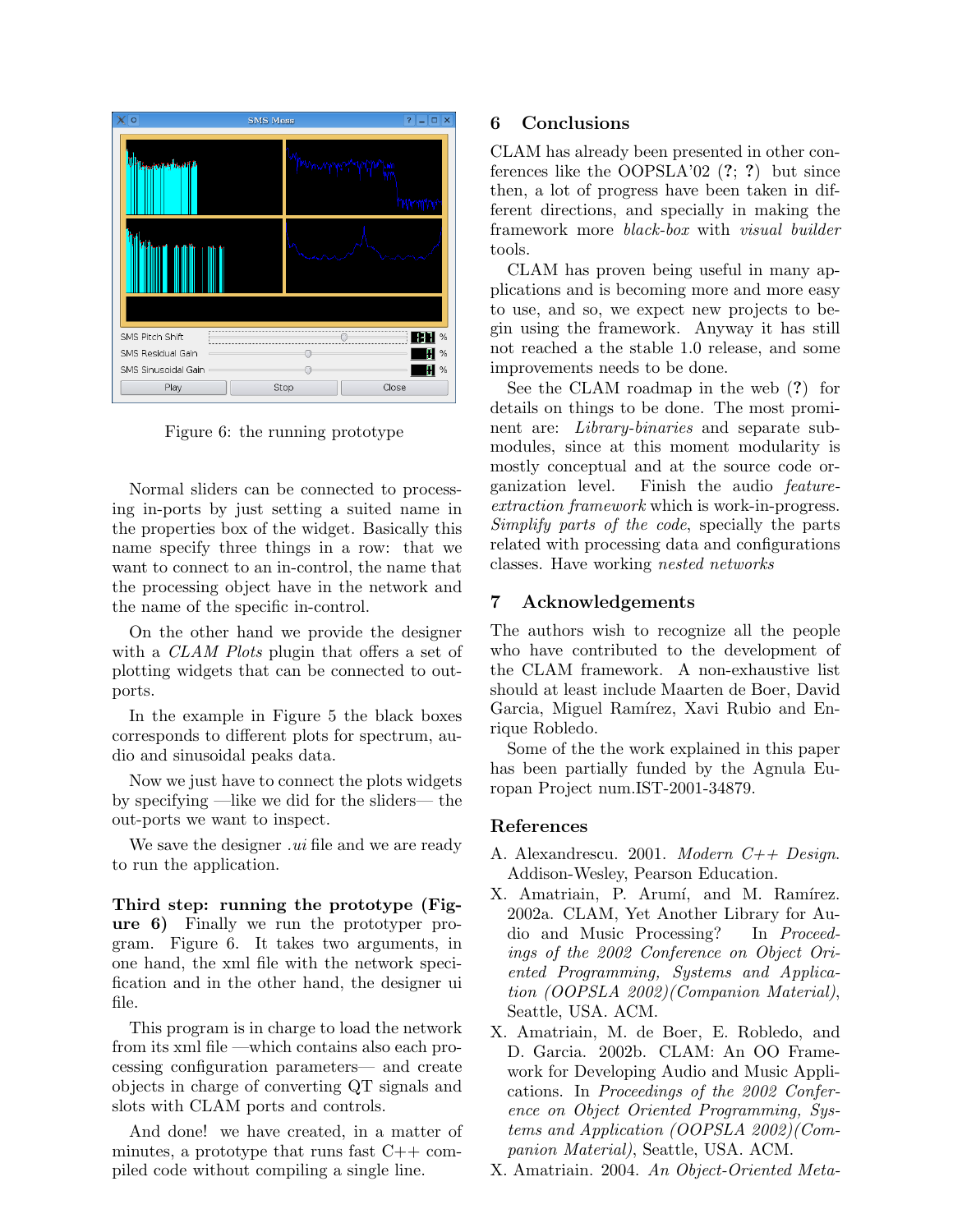| $\circ$             | <b>SMS Mess</b> | $\mathbf{P}$<br>∣×<br>$\Box$ |
|---------------------|-----------------|------------------------------|
| υ<br>mm             | M۸m             |                              |
|                     |                 |                              |
|                     |                 |                              |
| SMS Pitch Shift     |                 | $\%$                         |
| SMS Residual Gain   |                 | $\%$                         |
| SMS Sinusoidal Gain |                 | $\%$                         |
| Play                | Close<br>Stop   |                              |

Figure 6: the running prototype

Normal sliders can be connected to processing in-ports by just setting a suited name in the properties box of the widget. Basically this name specify three things in a row: that we want to connect to an in-control, the name that the processing object have in the network and the name of the specific in-control.

On the other hand we provide the designer with a *CLAM Plots* plugin that offers a set of plotting widgets that can be connected to outports.

In the example in Figure 5 the black boxes corresponds to different plots for spectrum, audio and sinusoidal peaks data.

Now we just have to connect the plots widgets by specifying —like we did for the sliders— the out-ports we want to inspect.

We save the designer *ui* file and we are ready to run the application.

Third step: running the prototype (Figure 6) Finally we run the prototyper program. Figure 6. It takes two arguments, in one hand, the xml file with the network specification and in the other hand, the designer ui file.

This program is in charge to load the network from its xml file —which contains also each processing configuration parameters— and create objects in charge of converting QT signals and slots with CLAM ports and controls.

And done! we have created, in a matter of minutes, a prototype that runs fast  $C++$  compiled code without compiling a single line.

## 6 Conclusions

CLAM has already been presented in other conferences like the OOPSLA'02  $(?; ?)$  but since then, a lot of progress have been taken in different directions, and specially in making the framework more black-box with visual builder tools.

CLAM has proven being useful in many applications and is becoming more and more easy to use, and so, we expect new projects to begin using the framework. Anyway it has still not reached a the stable 1.0 release, and some improvements needs to be done.

See the CLAM roadmap in the web (?) for details on things to be done. The most prominent are: Library-binaries and separate submodules, since at this moment modularity is mostly conceptual and at the source code organization level. Finish the audio featureextraction framework which is work-in-progress. Simplify parts of the code, specially the parts related with processing data and configurations classes. Have working nested networks

# 7 Acknowledgements

The authors wish to recognize all the people who have contributed to the development of the CLAM framework. A non-exhaustive list should at least include Maarten de Boer, David Garcia, Miguel Ramírez, Xavi Rubio and Enrique Robledo.

Some of the the work explained in this paper has been partially funded by the Agnula Europan Project num.IST-2001-34879.

## References

- A. Alexandrescu. 2001. Modern C++ Design. Addison-Wesley, Pearson Education.
- X. Amatriain, P. Arumí, and M. Ramírez. 2002a. CLAM, Yet Another Library for Audio and Music Processing? In Proceedings of the 2002 Conference on Object Oriented Programming, Systems and Application (OOPSLA 2002)(Companion Material), Seattle, USA. ACM.
- X. Amatriain, M. de Boer, E. Robledo, and D. Garcia. 2002b. CLAM: An OO Framework for Developing Audio and Music Applications. In Proceedings of the 2002 Conference on Object Oriented Programming, Systems and Application (OOPSLA 2002)(Companion Material), Seattle, USA. ACM.

X. Amatriain. 2004. An Object-Oriented Meta-